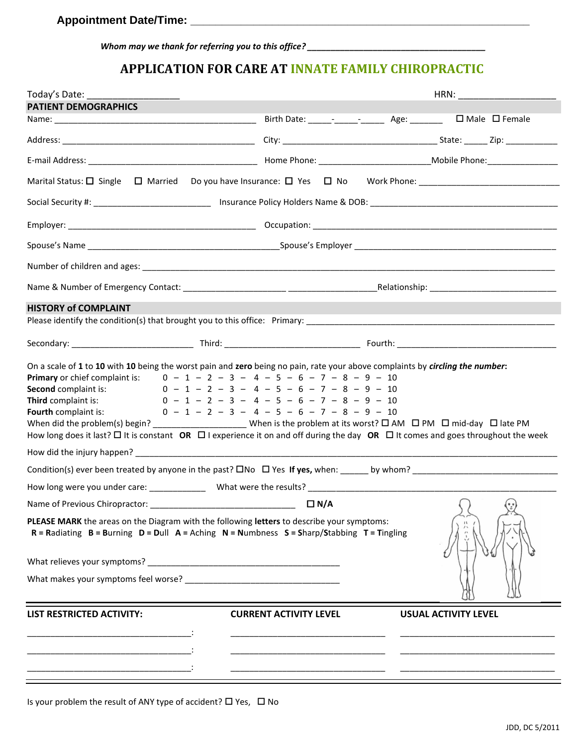*Whom may we thank for referring you to this office? \_\_\_\_\_\_\_\_\_\_\_\_\_\_\_\_\_\_\_\_\_\_\_\_\_\_\_\_\_\_\_\_\_\_\_\_\_\_*

## **APPLICATION FOR CARE AT INNATE FAMILY CHIROPRACTIC**

| Today's Date:                                                                                                                                                                                                                                                                                                                                                                                                                                                                                                                    |                               | HRN:                                       |
|----------------------------------------------------------------------------------------------------------------------------------------------------------------------------------------------------------------------------------------------------------------------------------------------------------------------------------------------------------------------------------------------------------------------------------------------------------------------------------------------------------------------------------|-------------------------------|--------------------------------------------|
| <b>PATIENT DEMOGRAPHICS</b>                                                                                                                                                                                                                                                                                                                                                                                                                                                                                                      |                               |                                            |
|                                                                                                                                                                                                                                                                                                                                                                                                                                                                                                                                  |                               |                                            |
|                                                                                                                                                                                                                                                                                                                                                                                                                                                                                                                                  |                               |                                            |
|                                                                                                                                                                                                                                                                                                                                                                                                                                                                                                                                  |                               |                                            |
|                                                                                                                                                                                                                                                                                                                                                                                                                                                                                                                                  |                               |                                            |
|                                                                                                                                                                                                                                                                                                                                                                                                                                                                                                                                  |                               |                                            |
|                                                                                                                                                                                                                                                                                                                                                                                                                                                                                                                                  |                               |                                            |
|                                                                                                                                                                                                                                                                                                                                                                                                                                                                                                                                  |                               |                                            |
|                                                                                                                                                                                                                                                                                                                                                                                                                                                                                                                                  |                               |                                            |
|                                                                                                                                                                                                                                                                                                                                                                                                                                                                                                                                  |                               |                                            |
| <b>HISTORY of COMPLAINT</b>                                                                                                                                                                                                                                                                                                                                                                                                                                                                                                      |                               |                                            |
|                                                                                                                                                                                                                                                                                                                                                                                                                                                                                                                                  |                               |                                            |
|                                                                                                                                                                                                                                                                                                                                                                                                                                                                                                                                  |                               |                                            |
| <b>Second</b> complaint is: $0 - 1 - 2 - 3 - 4 - 5 - 6 - 7 - 8 - 9 - 10$<br>Third complaint is:<br>$0 - 1 - 2 - 3 - 4 - 5 - 6 - 7 - 8 - 9 - 10$<br><b>Fourth</b> complaint is: $0 - 1 - 2 - 3 - 4 - 5 - 6 - 7 - 8 - 9 - 10$<br>When did the problem(s) begin? __________________________ When is the problem at its worst? $\Box$ AM $\Box$ PM $\Box$ mid-day $\Box$ late PM<br>How long does it last? $\Box$ It is constant OR $\Box$ I experience it on and off during the day OR $\Box$ It comes and goes throughout the week |                               |                                            |
|                                                                                                                                                                                                                                                                                                                                                                                                                                                                                                                                  |                               |                                            |
|                                                                                                                                                                                                                                                                                                                                                                                                                                                                                                                                  |                               |                                            |
|                                                                                                                                                                                                                                                                                                                                                                                                                                                                                                                                  |                               |                                            |
| Name of Previous Chiropractor:                                                                                                                                                                                                                                                                                                                                                                                                                                                                                                   | $\Box$ N/A                    | $\bigcap$<br>$\left( \cdot, \cdot \right)$ |
| PLEASE MARK the areas on the Diagram with the following letters to describe your symptoms:<br>$R =$ Radiating $B =$ Burning $D =$ Dull $A =$ Aching $N =$ Numbness $S =$ Sharp/Stabbing $T =$ Tingling                                                                                                                                                                                                                                                                                                                           |                               |                                            |
|                                                                                                                                                                                                                                                                                                                                                                                                                                                                                                                                  |                               |                                            |
| What makes your symptoms feel worse?                                                                                                                                                                                                                                                                                                                                                                                                                                                                                             |                               |                                            |
| <b>LIST RESTRICTED ACTIVITY:</b>                                                                                                                                                                                                                                                                                                                                                                                                                                                                                                 | <b>CURRENT ACTIVITY LEVEL</b> | <b>USUAL ACTIVITY LEVEL</b>                |
|                                                                                                                                                                                                                                                                                                                                                                                                                                                                                                                                  |                               |                                            |
|                                                                                                                                                                                                                                                                                                                                                                                                                                                                                                                                  |                               |                                            |
|                                                                                                                                                                                                                                                                                                                                                                                                                                                                                                                                  |                               |                                            |

Is your problem the result of ANY type of accident?  $\Box$  Yes,  $\Box$  No